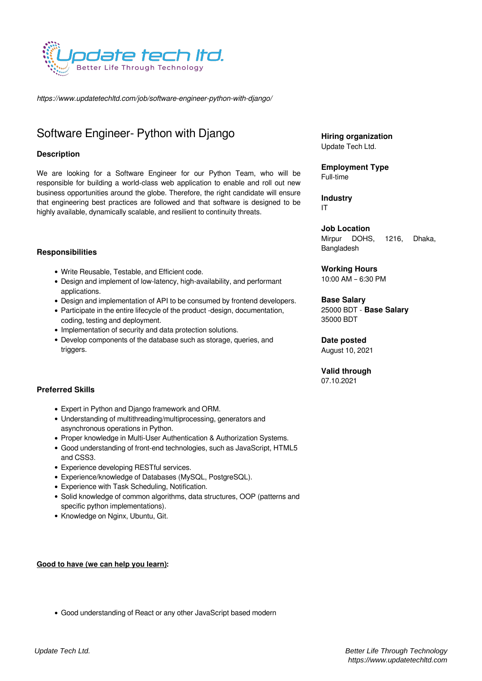

*https://www.updatetechltd.com/job/software-engineer-python-with-django/*

# Software Engineer- Python with Django

# **Description**

We are looking for a Software Engineer for our Python Team, who will be responsible for building a world-class web application to enable and roll out new business opportunities around the globe. Therefore, the right candidate will ensure that engineering best practices are followed and that software is designed to be highly available, dynamically scalable, and resilient to continuity threats.

#### **Responsibilities**

- Write Reusable, Testable, and Efficient code.
- Design and implement of low-latency, high-availability, and performant applications.
- Design and implementation of API to be consumed by frontend developers.
- Participate in the entire lifecycle of the product -design, documentation, coding, testing and deployment.
- Implementation of security and data protection solutions.
- Develop components of the database such as storage, queries, and triggers.

# **Preferred Skills**

- Expert in Python and Django framework and ORM.
- Understanding of multithreading/multiprocessing, generators and asynchronous operations in Python.
- Proper knowledge in Multi-User Authentication & Authorization Systems.
- Good understanding of front-end technologies, such as JavaScript, HTML5 and CSS3.
- Experience developing RESTful services.
- Experience/knowledge of Databases (MySQL, PostgreSQL).
- Experience with Task Scheduling, Notification.
- Solid knowledge of common algorithms, data structures, OOP (patterns and specific python implementations).

Good understanding of React or any other JavaScript based modern

• Knowledge on Nginx, Ubuntu, Git.

#### **Good to have (we can help you learn):**

**Hiring organization** Update Tech Ltd.

**Employment Type** Full-time

**Industry** IT

**Job Location** Mirpur DOHS, 1216, Dhaka, Bangladesh

**Working Hours** 10:00 AM – 6:30 PM

**Base Salary** 25000 BDT - **Base Salary** 35000 BDT

**Date posted** August 10, 2021

**Valid through** 07.10.2021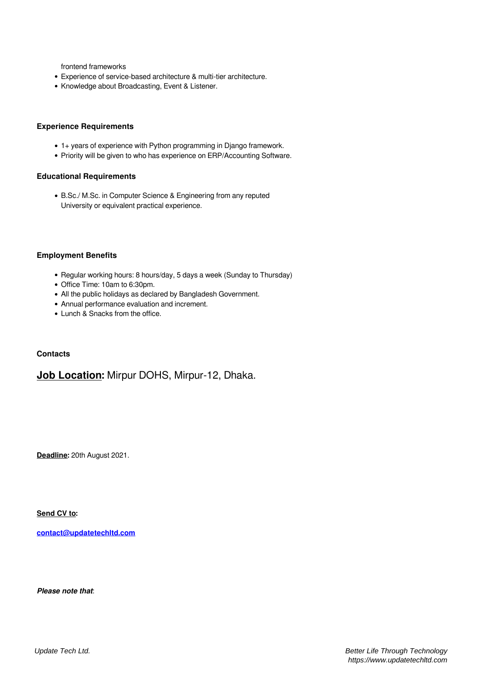frontend frameworks

- Experience of service-based architecture & multi-tier architecture.
- Knowledge about Broadcasting, Event & Listener.

#### **Experience Requirements**

- 1+ years of experience with Python programming in Django framework.
- Priority will be given to who has experience on ERP/Accounting Software.

# **Educational Requirements**

B.Sc./ M.Sc. in Computer Science & Engineering from any reputed University or equivalent practical experience.

#### **Employment Benefits**

- Regular working hours: 8 hours/day, 5 days a week (Sunday to Thursday)
- Office Time: 10am to 6:30pm.
- All the public holidays as declared by Bangladesh Government.
- Annual performance evaluation and increment.
- Lunch & Snacks from the office.

#### **Contacts**

# **Job Location:** Mirpur DOHS, Mirpur-12, Dhaka.

**Deadline:** 20th August 2021.

**Send CV to:**

**[contact@updatetechltd.com](mailto:contact@updatetechltd.com)**

*Please note that*: